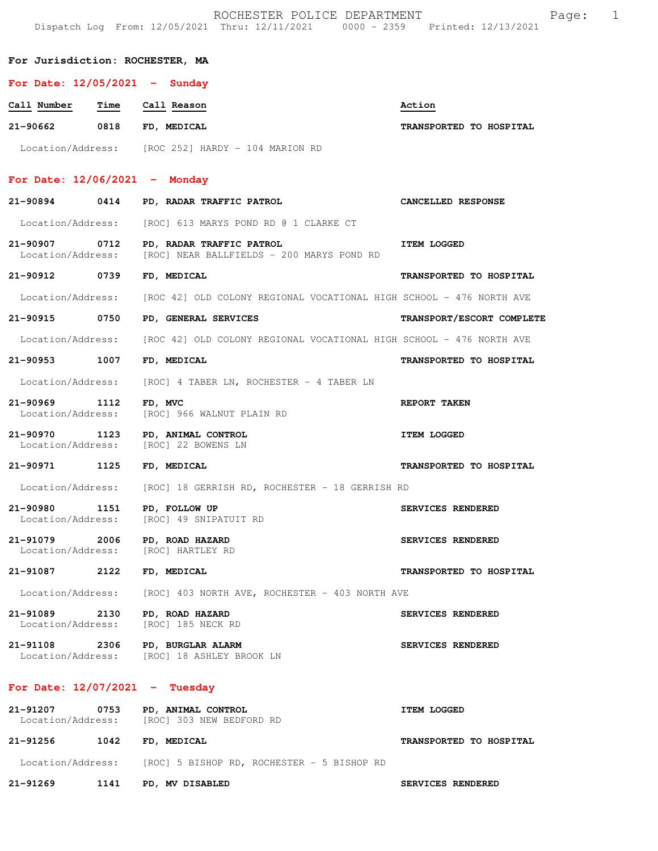|                                    |      | ROCHESTER POLICE DEPARTMENT<br>Dispatch Log From: 12/05/2021 Thru: 12/11/2021 0000 - 2359 Printed: 12/13/2021 | $\mathbf 1$<br>Page:      |
|------------------------------------|------|---------------------------------------------------------------------------------------------------------------|---------------------------|
| For Jurisdiction: ROCHESTER, MA    |      |                                                                                                               |                           |
| For Date: $12/05/2021$ - Sunday    |      |                                                                                                               |                           |
| Call Number                        | Time | Call Reason                                                                                                   | Action                    |
| 21-90662 0818                      |      | FD, MEDICAL                                                                                                   | TRANSPORTED TO HOSPITAL   |
|                                    |      | Location/Address: [ROC 252] HARDY - 104 MARION RD                                                             |                           |
| For Date: $12/06/2021$ - Monday    |      |                                                                                                               |                           |
| 21-90894                           | 0414 | PD, RADAR TRAFFIC PATROL                                                                                      | CANCELLED RESPONSE        |
| Location/Address:                  |      | [ROC] 613 MARYS POND RD @ 1 CLARKE CT                                                                         |                           |
| 21-90907 0712<br>Location/Address: |      | PD, RADAR TRAFFIC PATROL<br>[ROC] NEAR BALLFIELDS - 200 MARYS POND RD                                         | <b>ITEM LOGGED</b>        |
| 21-90912                           | 0739 | FD, MEDICAL                                                                                                   | TRANSPORTED TO HOSPITAL   |
| Location/Address:                  |      | [ROC 42] OLD COLONY REGIONAL VOCATIONAL HIGH SCHOOL - 476 NORTH AVE                                           |                           |
| 21-90915                           | 0750 | PD, GENERAL SERVICES                                                                                          | TRANSPORT/ESCORT COMPLETE |
| Location/Address:                  |      | [ROC 42] OLD COLONY REGIONAL VOCATIONAL HIGH SCHOOL - 476 NORTH AVE                                           |                           |
| 21-90953                           | 1007 | FD, MEDICAL                                                                                                   | TRANSPORTED TO HOSPITAL   |
| Location/Address:                  |      | [ROC] 4 TABER LN, ROCHESTER - 4 TABER LN                                                                      |                           |
| 21-90969<br>Location/Address:      | 1112 | FD, MVC<br>[ROC] 966 WALNUT PLAIN RD                                                                          | REPORT TAKEN              |
| 21-90970 1123                      |      | PD, ANIMAL CONTROL<br>Location/Address: [ROC] 22 BOWENS LN                                                    | <b>ITEM LOGGED</b>        |
| 21-90971 1125                      |      | FD, MEDICAL                                                                                                   | TRANSPORTED TO HOSPITAL   |
|                                    |      | Location/Address: [ROC] 18 GERRISH RD, ROCHESTER - 18 GERRISH RD                                              |                           |
|                                    |      | 21-90980 1151 PD, FOLLOW UP<br>Location/Address: [ROC] 49 SNIPATUIT RD                                        | SERVICES RENDERED         |
|                                    |      | 21-91079 2006 PD, ROAD HAZARD<br>Location/Address: [ROC] HARTLEY RD                                           | SERVICES RENDERED         |
| 21-91087 2122                      |      | FD, MEDICAL                                                                                                   | TRANSPORTED TO HOSPITAL   |
| Location/Address:                  |      | [ROC] 403 NORTH AVE, ROCHESTER - 403 NORTH AVE                                                                |                           |
| 21-91089 2130<br>Location/Address: |      | PD, ROAD HAZARD<br>[ROC] 185 NECK RD                                                                          | SERVICES RENDERED         |
|                                    |      | 21-91108 2306 PD, BURGLAR ALARM<br>Location/Address: [ROC] 18 ASHLEY BROOK LN                                 | SERVICES RENDERED         |
| For Date: $12/07/2021$ - Tuesday   |      |                                                                                                               |                           |
|                                    |      | 21-91207 0753 PD, ANIMAL CONTROL<br>Location/Address: [ROC] 303 NEW BEDFORD RD                                | <b>ITEM LOGGED</b>        |
| 21-91256 1042 FD, MEDICAL          |      |                                                                                                               | TRANSPORTED TO HOSPITAL   |
|                                    |      | Location/Address: [ROC] 5 BISHOP RD, ROCHESTER - 5 BISHOP RD                                                  |                           |
|                                    |      | 21-91269 1141 PD, MV DISABLED                                                                                 | SERVICES RENDERED         |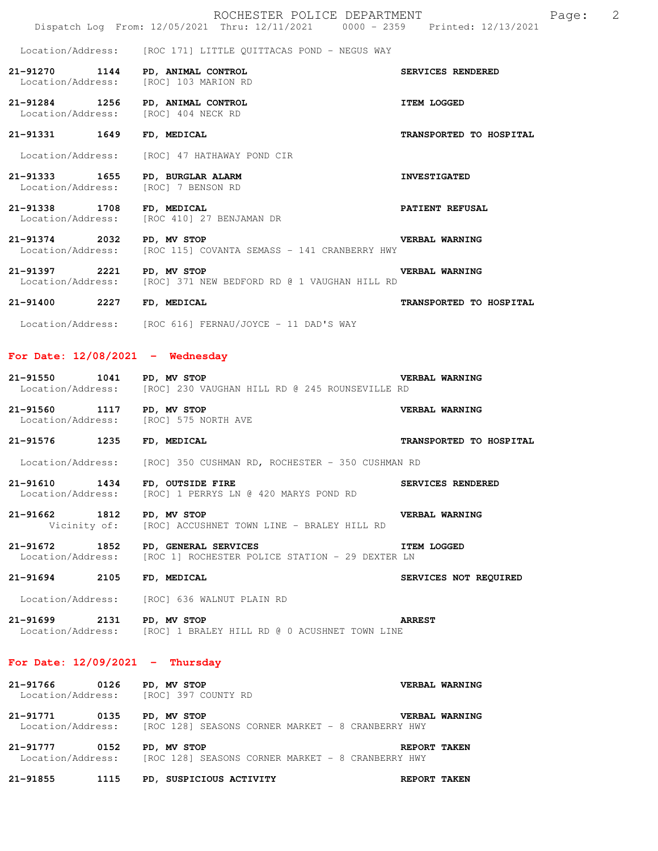Location/Address: [ROC 171] LITTLE QUITTACAS POND - NEGUS WAY

**21-91270 1144 PD, ANIMAL CONTROL SERVICES RENDERED**  [ROC] 103 MARION RD

**21-91284 1256 PD, ANIMAL CONTROL 17EM LOGGED ITEM LOGGED IGORIAL LOGGED** [ROC] 404 NECK RD

**21-91331 1649 FD, MEDICAL TRANSPORTED TO HOSPITAL** 

Location/Address: [ROC] 47 HATHAWAY POND CIR

**21-91333 1655 PD, BURGLAR ALARM INVESTIGATED**  Location/Address: [ROC] 7 BENSON RD

**21-91338 1708 FD, MEDICAL PATIENT REFUSAL**  Location/Address: [ROC 410] 27 BENJAMAN DR

21-91374 2032 PD, MV STOP<br>Location/Address: [ROC 115] COVANTA SEMASS - 141 CRANBERRY HWY [ROC 115] COVANTA SEMASS - 141 CRANBERRY HWY

21-91397 2221 PD, MV STOP **VERBAL WARNING**<br>Location/Address: [ROC] 371 NEW BEDFORD RD @ 1 VAUGHAN HILL RD [ROC] 371 NEW BEDFORD RD @ 1 VAUGHAN HILL RD

**21-91400 2227 FD, MEDICAL TRANSPORTED TO HOSPITAL** 

Location/Address: [ROC 616] FERNAU/JOYCE - 11 DAD'S WAY

### **For Date: 12/08/2021 - Wednesday**

| 21-91550          | 1041 | PD, MV STOP |  |  |  |                                                | VERBAL WARNING |
|-------------------|------|-------------|--|--|--|------------------------------------------------|----------------|
| Location/Address: |      |             |  |  |  | [ROC] 230 VAUGHAN HILL RD @ 245 ROUNSEVILLE RD |                |

**21-91560 1117 PD, MV STOP VERBAL WARNING**  [ROC] 575 NORTH AVE **21-91576 1235 FD, MEDICAL TRANSPORTED TO HOSPITAL** 

Location/Address: [ROC] 350 CUSHMAN RD, ROCHESTER - 350 CUSHMAN RD

**21-91610 1434 FD, OUTSIDE FIRE SERVICES RENDERED**<br>Location/Address: [ROC] 1 PERRYS LN @ 420 MARYS POND RD [ROC] 1 PERRYS LN @ 420 MARYS POND RD

**21-91662 1812 PD, MV STOP BEACH STOP VERBAL WARNING**<br>Vicinity of: [ROC] ACCUSHNET TOWN LINE - BRALEY HILL RD [ROC] ACCUSHNET TOWN LINE - BRALEY HILL RD

21-91672 1852 PD, GENERAL SERVICES **ITEM LOGGED**<br>Location/Address: [ROC 1] ROCHESTER POLICE STATION - 29 DEXTER LN [ROC 1] ROCHESTER POLICE STATION - 29 DEXTER LN

**21-91694 2105 FD, MEDICAL SERVICES NOT REQUIRED** 

Location/Address: [ROC] 636 WALNUT PLAIN RD

**21-91699 2131 PD, MV STOP ARREST**  Location/Address: [ROC] 1 BRALEY HILL RD @ 0 ACUSHNET TOWN LINE

# **For Date: 12/09/2021 - Thursday**

**21-91766 0126 PD, MV STOP COUNTY RD**<br>
Location/Address: [ROC] 397 COUNTY RD [ROC] 397 COUNTY RD **21-91771 0135 PD, MV STOP VERBAL WARNING**<br>Location/Address: [ROC 128] SEASONS CORNER MARKET - 8 CRANBERRY HWY [ROC 128] SEASONS CORNER MARKET - 8 CRANBERRY HWY **21-91777 0152 PD, MV STOP REPORT TAKEN**<br>Location/Address: [ROC 128] SEASONS CORNER MARKET - 8 CRANBERRY HWY [ROC 128] SEASONS CORNER MARKET - 8 CRANBERRY HWY

**21-91855 1115 PD, SUSPICIOUS ACTIVITY REPORT TAKEN**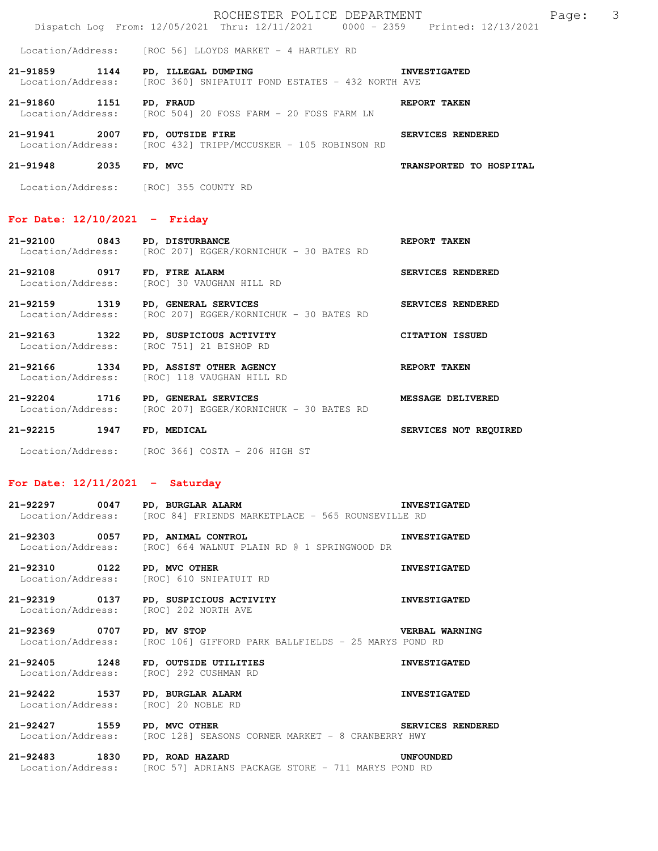|                                                    | ROCHESTER POLICE DEPARTMENT         | Page: |  |
|----------------------------------------------------|-------------------------------------|-------|--|
| Dispatch Log From: $12/05/2021$ Thru: $12/11/2021$ | $0000 - 2359$ Printed: $12/13/2021$ |       |  |

Location/Address: [ROC 56] LLOYDS MARKET - 4 HARTLEY RD

- **21-91859 1144 PD, ILLEGAL DUMPING INVESTIGATED INVESTIGATED**<br>Location/Address: [ROC 360] SNIPATUIT POND ESTATES 432 NORTH AVE [ROC 360] SNIPATUIT POND ESTATES - 432 NORTH AVE
- **21-91860 1151 PD, FRAUD REPORT TAKEN**<br>Location/Address: [ROC 504] 20 FOSS FARM 20 FOSS FARM LN  $[ROC 504] 20 FOS SRAN - 20 FOS SRAN LM$

21-91941 2007 FD, OUTSIDE FIRE **FIRE SERVICES RENDERED**<br>Location/Address: [ROC 432] TRIPP/MCCUSKER - 105 ROBINSON RD [ROC 432] TRIPP/MCCUSKER - 105 ROBINSON RD

**21-91948 2035 FD, MVC TRANSPORTED TO HOSPITAL** 

Location/Address: [ROC] 355 COUNTY RD

#### **For Date: 12/10/2021 - Friday**

**21-92100 0843 PD, DISTURBANCE REPORT TAKEN**  Location/Address: [ROC 207] EGGER/KORNICHUK - 30 BATES RD **21-92108 0917 FD, FIRE ALARM SERVICES RENDERED**<br>
Location/Address: [ROC] 30 VAUGHAN HILL RD [ROC] 30 VAUGHAN HILL RD **21-92159 1319 PD, GENERAL SERVICES SERVICES RENDERED**  Location/Address: [ROC 207] EGGER/KORNICHUK - 30 BATES RD **21-92163 1322 PD, SUSPICIOUS ACTIVITY CITATION ISSUED**  Location/Address: [ROC 751] 21 BISHOP RD

**21-92166 1334 PD, ASSIST OTHER AGENCY REPORT TAKEN**  Location/Address: [ROC] 118 VAUGHAN HILL RD

- **21-92204 1716 PD, GENERAL SERVICES MESSAGE DELIVERED**  Location/Address: [ROC 207] EGGER/KORNICHUK - 30 BATES RD
- **21-92215 1947 FD, MEDICAL SERVICES NOT REQUIRED** 
	- Location/Address: [ROC 366] COSTA 206 HIGH ST

## **For Date: 12/11/2021 - Saturday**

| 21-92297          | 0047 | PD, BURGLAR ALARM |                                                   |  | <b>INVESTIGATED</b> |
|-------------------|------|-------------------|---------------------------------------------------|--|---------------------|
| Location/Address: |      |                   | [ROC 84] FRIENDS MARKETPLACE - 565 ROUNSEVILLE RD |  |                     |

- **21-92303 0057 PD, ANIMAL CONTROL INVESTIGATED**  Location/Address: [ROC] 664 WALNUT PLAIN RD @ 1 SPRINGWOOD DR
- **21-92310 0122 PD, MVC OTHER INVESTIGATED**  Location/Address: [ROC] 610 SNIPATUIT RD
- **21-92319 0137 PD, SUSPICIOUS ACTIVITY INVESTIGATED**  Location/Address: [ROC] 202 NORTH AVE

**21-92369 0707 PD, MV STOP VERBAL WARNING**  Location/Address: [ROC 106] GIFFORD PARK BALLFIELDS - 25 MARYS POND RD

**21-92405 1248 FD, OUTSIDE UTILITIES INVESTIGATED**  Location/Address: [ROC] 292 CUSHMAN RD

**21-92422 1537 PD, BURGLAR ALARM INVESTIGATED**  Location/Address: [ROC] 20 NOBLE RD

**21-92427 1559 PD, MVC OTHER SERVICES RENDERED**  Location/Address: [ROC 128] SEASONS CORNER MARKET - 8 CRANBERRY HWY

#### **21-92483 1830 PD, ROAD HAZARD UNFOUNDED**  Location/Address: [ROC 57] ADRIANS PACKAGE STORE - 711 MARYS POND RD